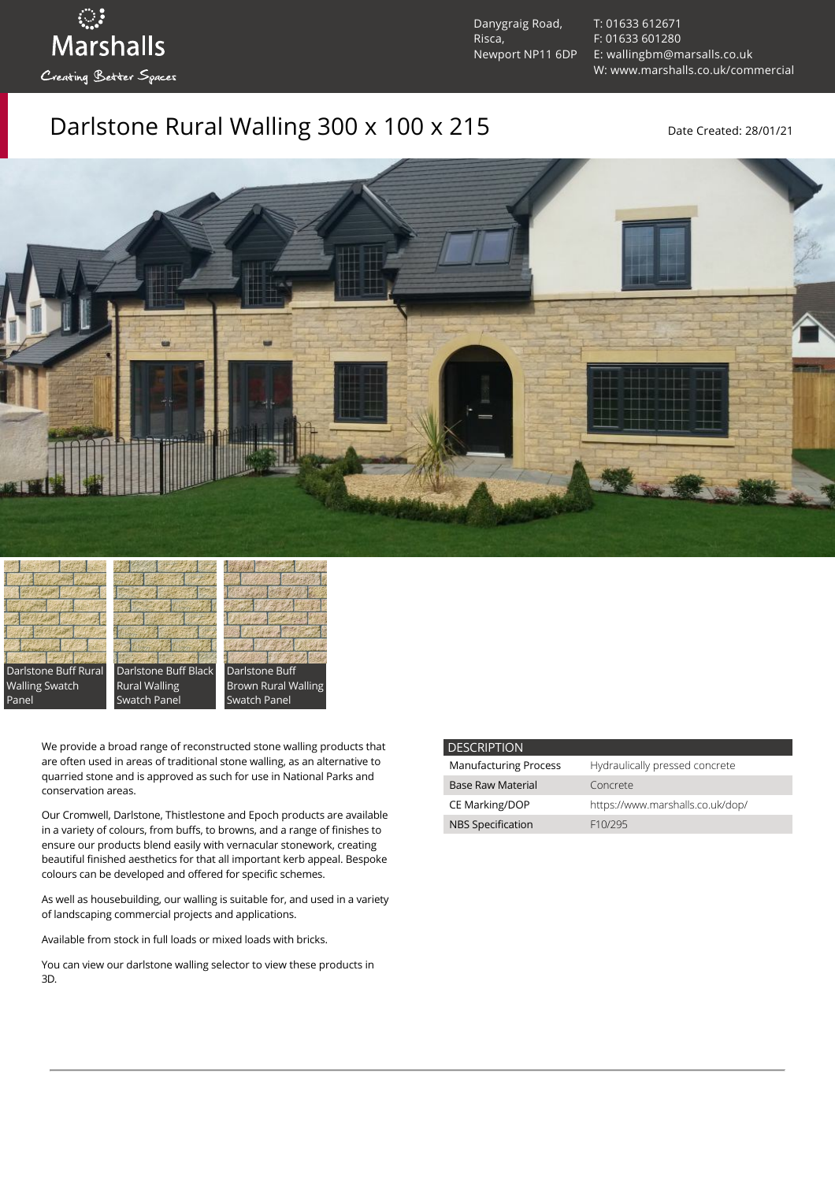ः<br>Marshalls Creating Better Spaces

Danygraig Road, Risca, Newport NP11 6DP [T: 01633 612671](tel:01633%20612671) [F: 01633 601280](tel:01633%20601280) [E: wallingbm@marsalls.co.uk](mailto:wallingbm@marsalls.co.uk) [W: www.marshalls.co.uk/commercial](https://www.marshalls.co.uk/commercial)

## Darlstone Rural Walling 300 x 100 x 215 Date Created: 28/01/21



Darlstone Buff Rural Walling Swatch Panel

Darlstone Buff Black Rural Walling Swatch Panel



We provide a broad range of reconstructed stone walling products that are often used in areas of traditional stone walling, as an alternative to quarried stone and is approved as such for use in National Parks and conservation areas.

Our [Cromwell](https://www.marshalls.co.uk/commercial/product/cromwell-stone-walling), Darlstone, [Thistlestone](https://www.marshalls.co.uk/commercial/product/thistlestone-stone-walling) and Epoch products are available in a variety of colours, from buffs, to browns, and a range of finishes to ensure our products blend easily with vernacular stonework, creating beautiful finished aesthetics for that all important kerb appeal. Bespoke colours can be developed and offered for specific schemes.

As well as housebuilding, our walling is suitable for, and used in a variety of landscaping commercial projects and applications.

Available from stock in full loads or mixed loads with bricks.

You can view our [darlstone walling selector](https://www.paverpicker.com/paverpicker/?u=edenhall&cat=walling&subcat=darlstone_walling) to view these products in 3D.

| <b>DESCRIPTION</b>           |                                  |
|------------------------------|----------------------------------|
| <b>Manufacturing Process</b> | Hydraulically pressed concrete   |
| <b>Base Raw Material</b>     | Concrete                         |
| <b>CE Marking/DOP</b>        | https://www.marshalls.co.uk/dop/ |
| <b>NBS Specification</b>     | F <sub>10</sub> /295             |
|                              |                                  |